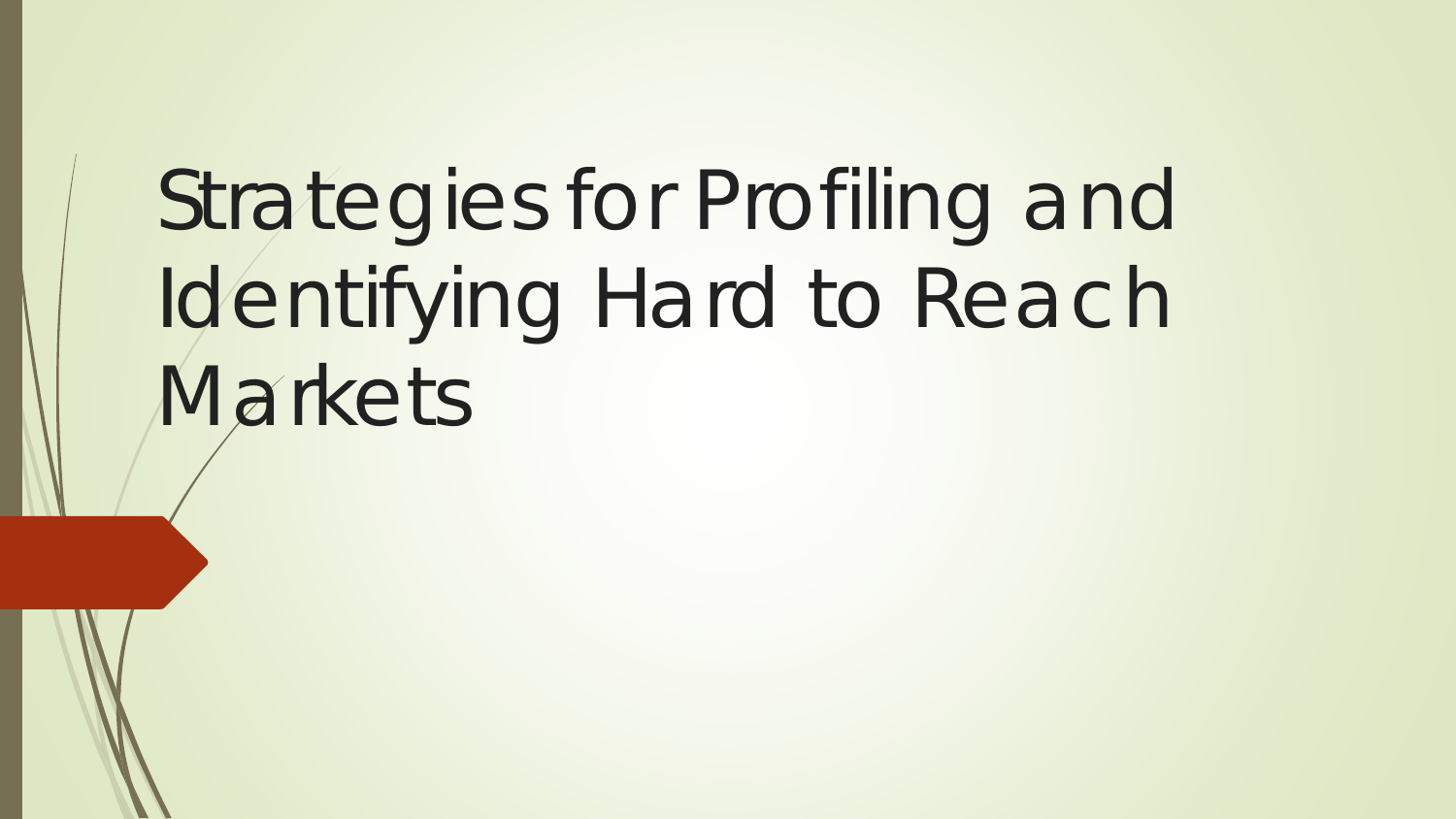# Strategies for Profiling and Identifying Hard to Reach Markets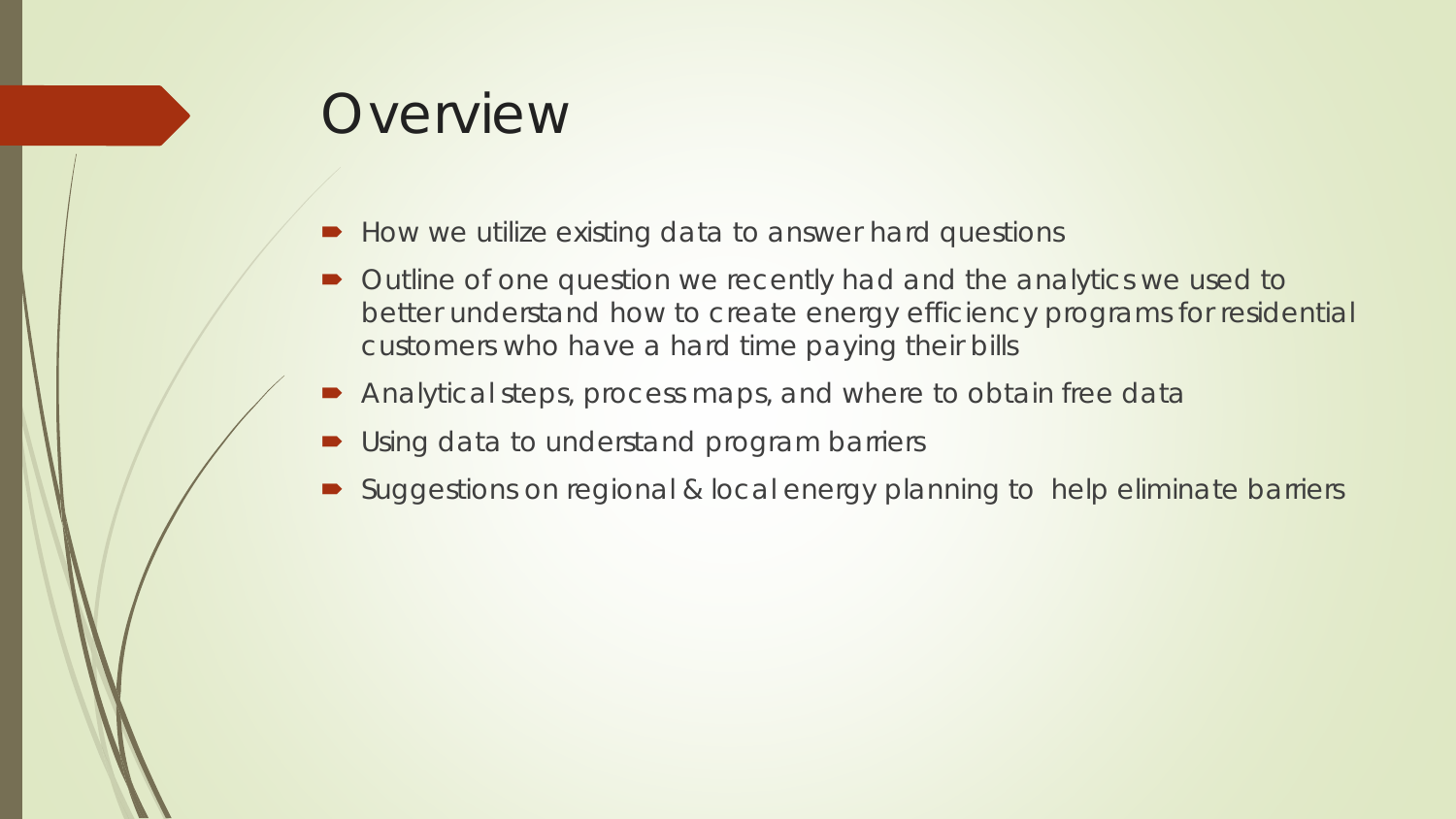#### Overview

- How we utilize existing data to answer hard questions
- Outline of one question we recently had and the analytics we used to better understand how to create energy efficiency programs for residential customers who have a hard time paying their bills
- Analytical steps, process maps, and where to obtain free data
- **Using data to understand program barriers**
- Suggestions on regional & local energy planning to help eliminate barriers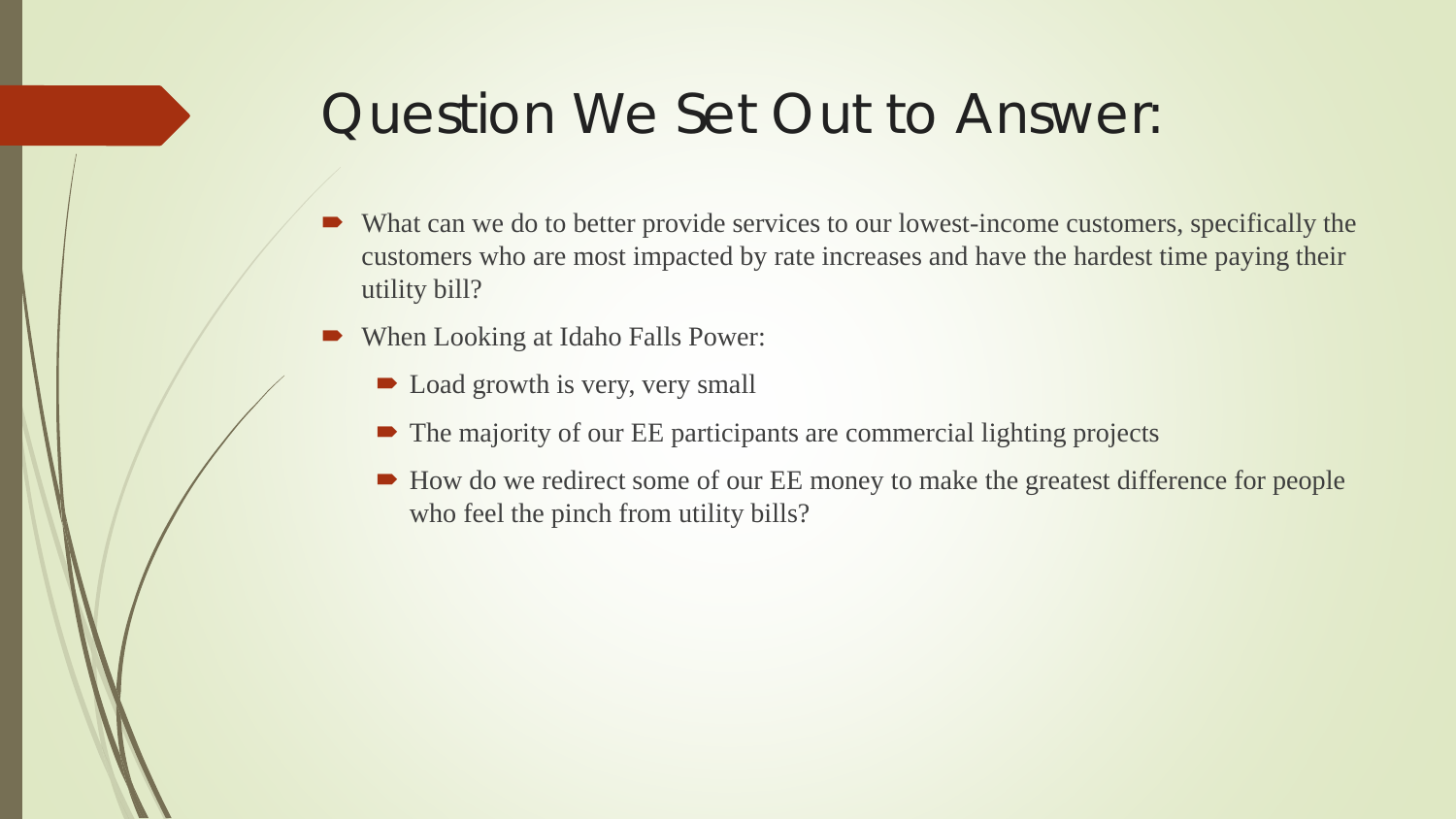### Question We Set Out to Answer:

- What can we do to better provide services to our lowest-income customers, specifically the customers who are most impacted by rate increases and have the hardest time paying their utility bill?
- When Looking at Idaho Falls Power:
	- Load growth is very, very small
	- The majority of our EE participants are commercial lighting projects
	- How do we redirect some of our EE money to make the greatest difference for people who feel the pinch from utility bills?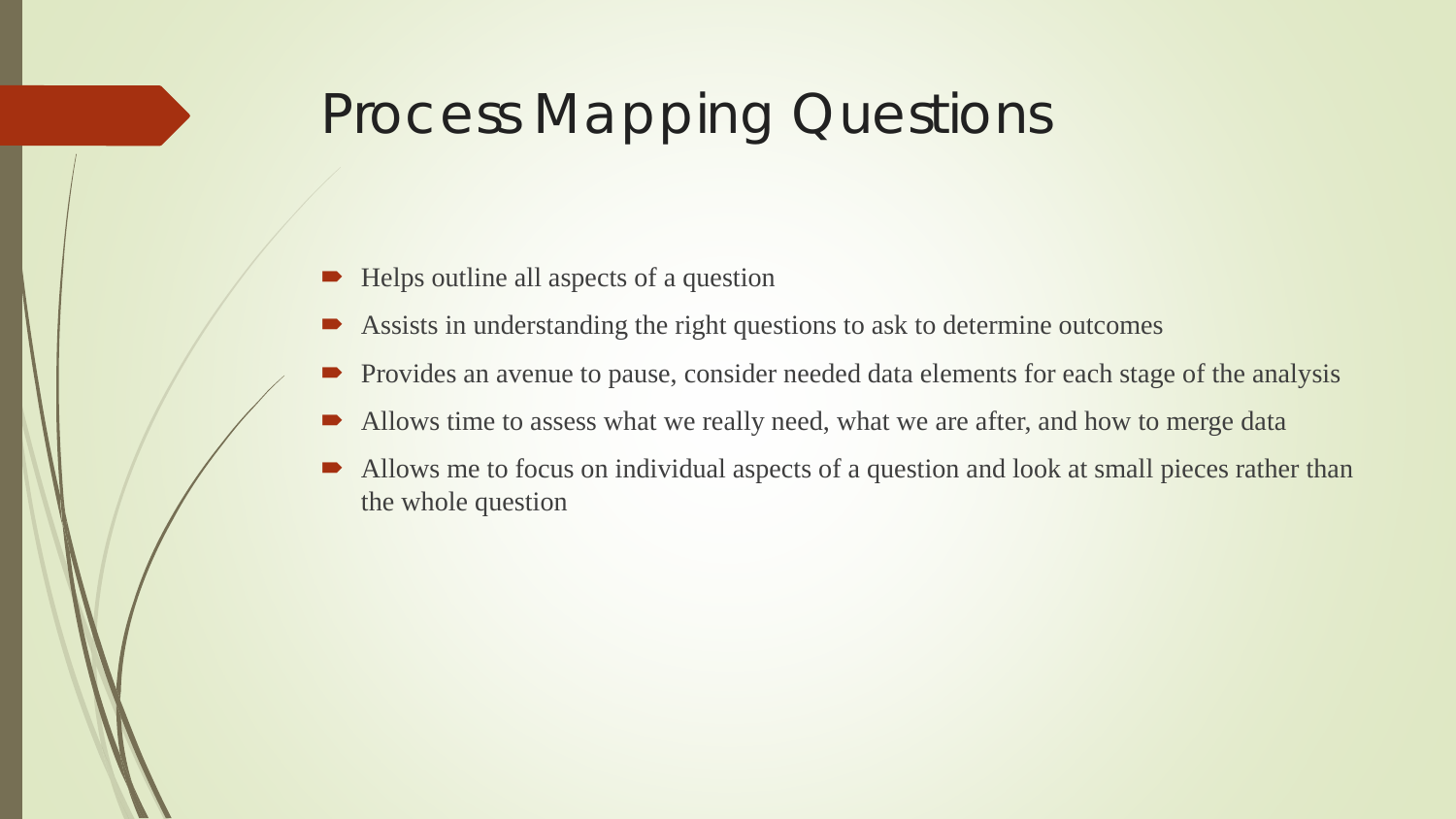# Process Mapping Questions

- Helps outline all aspects of a question
- Assists in understanding the right questions to ask to determine outcomes
- Provides an avenue to pause, consider needed data elements for each stage of the analysis
- Allows time to assess what we really need, what we are after, and how to merge data
- Allows me to focus on individual aspects of a question and look at small pieces rather than the whole question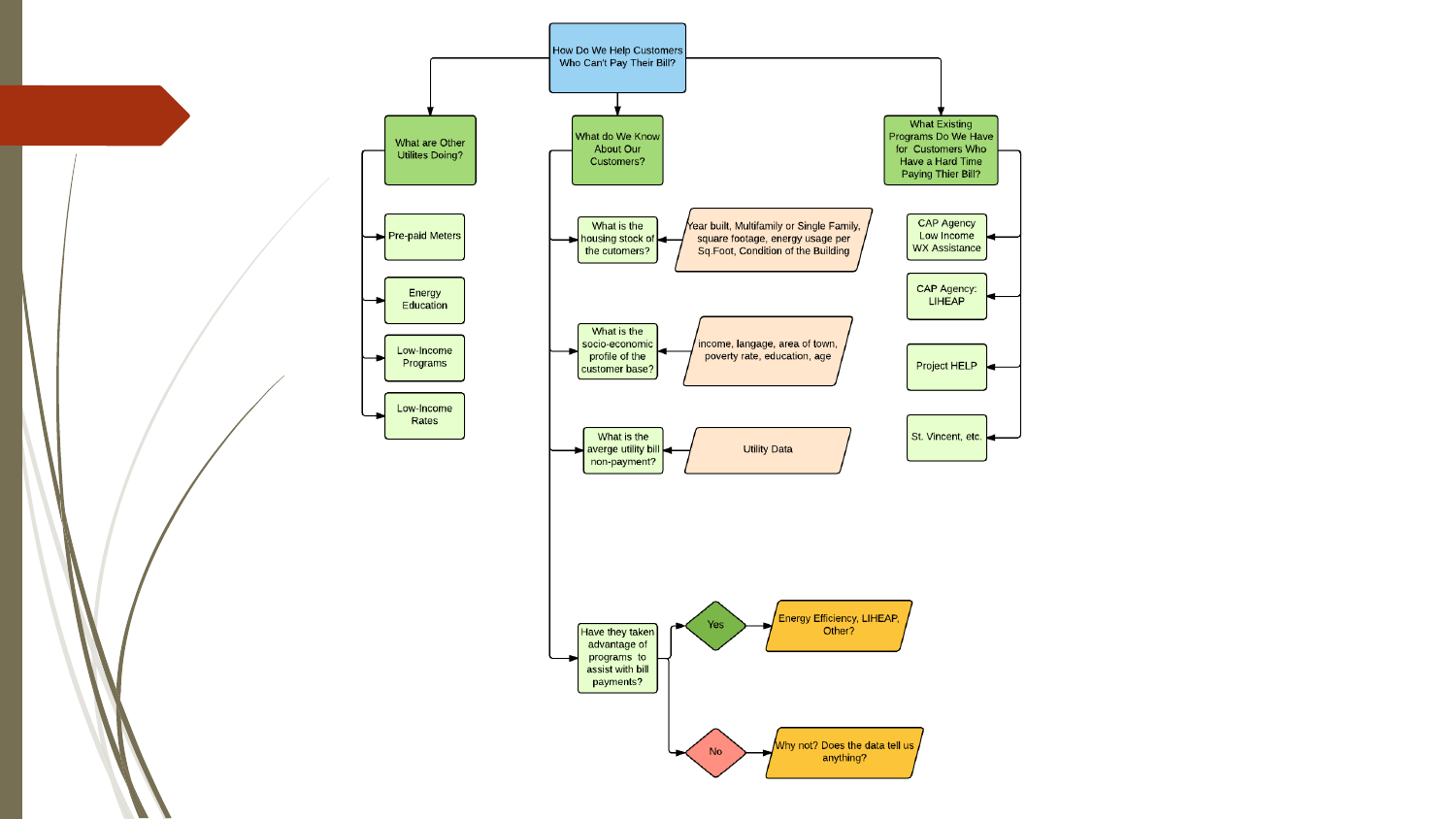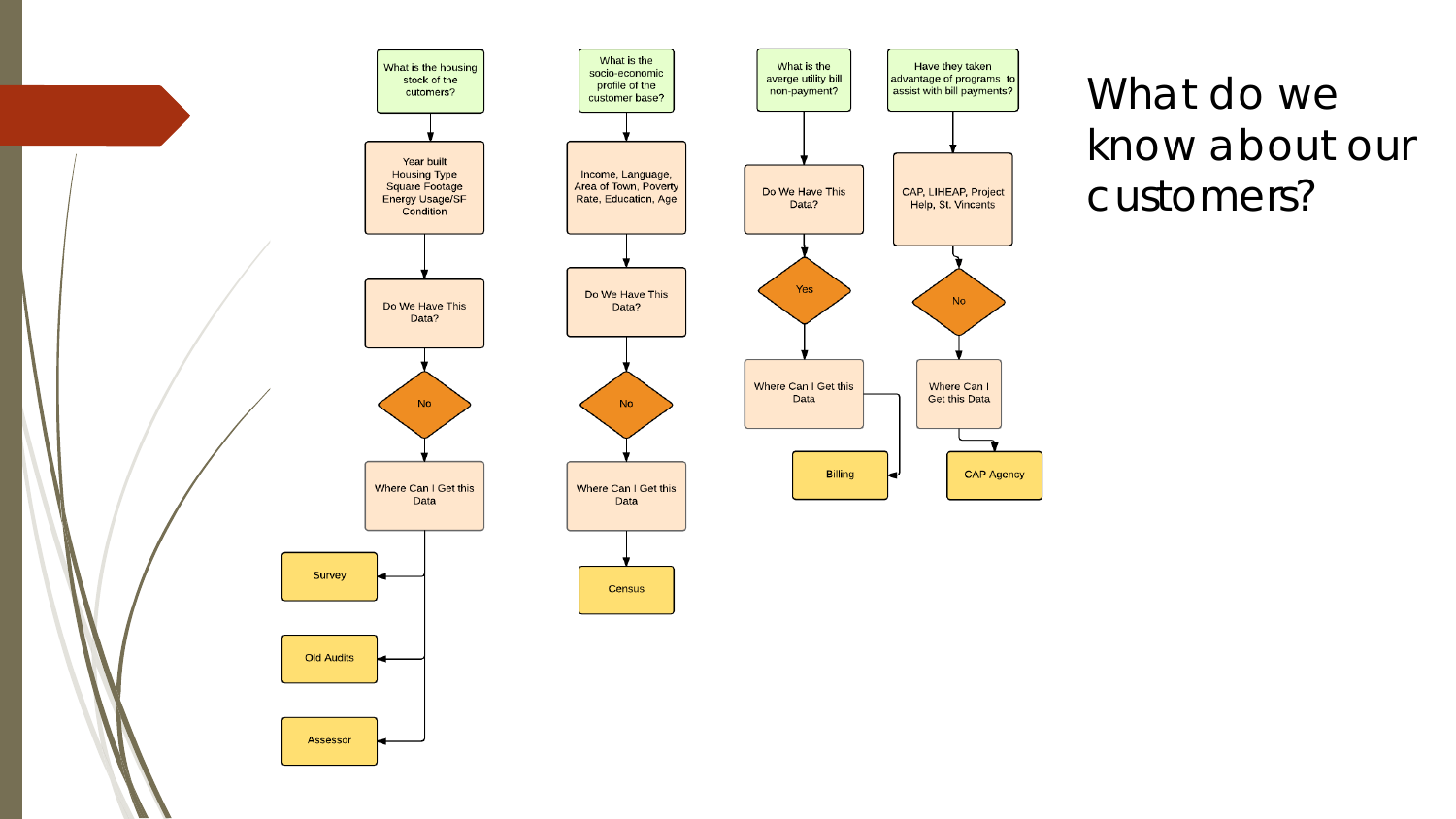

What do we know about our customers?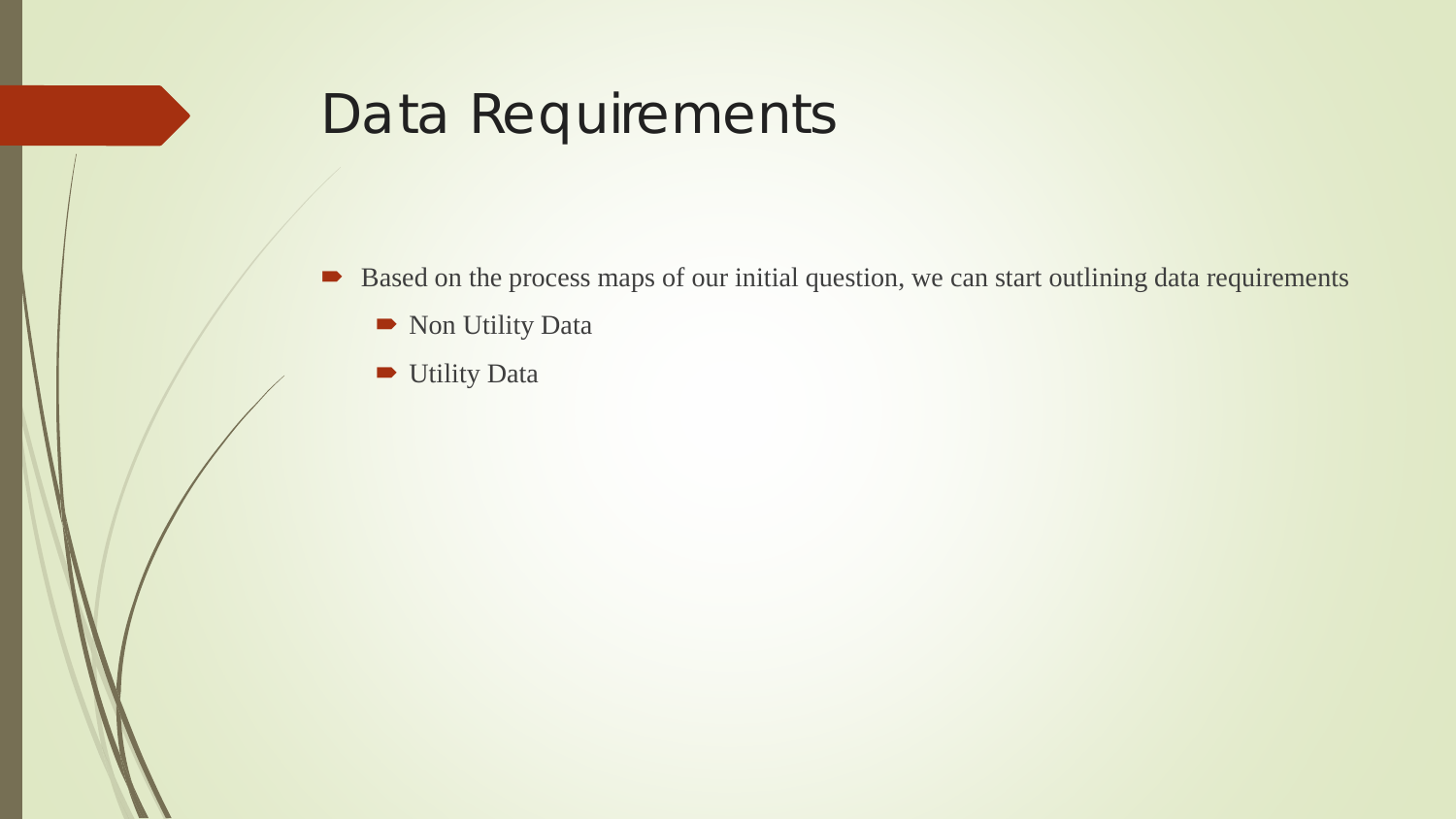# Data Requirements

- Based on the process maps of our initial question, we can start outlining data requirements
	- Non Utility Data
	- **Utility Data**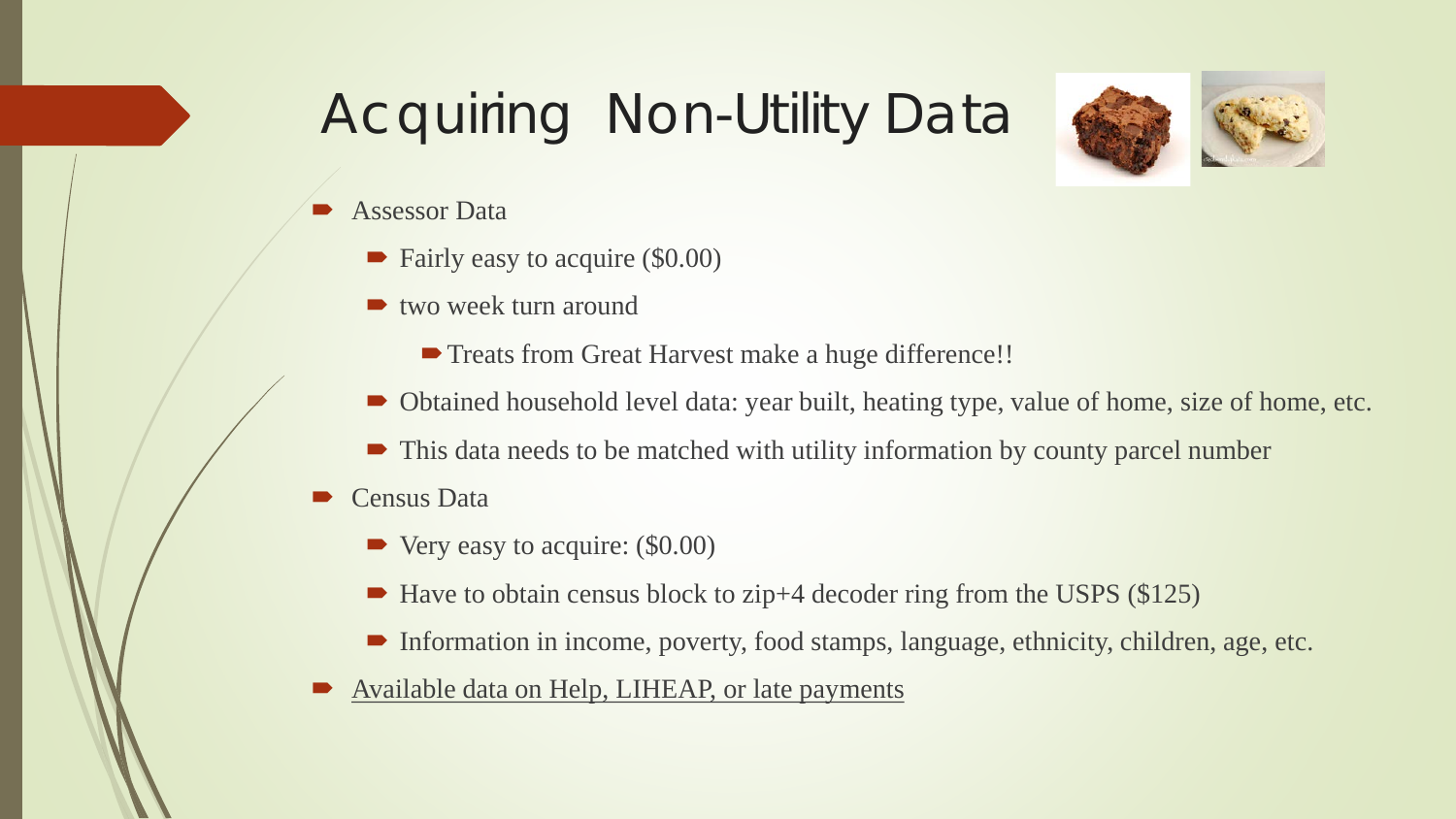# Acquiring Non-Utility Data



- Assessor Data
	- Fairly easy to acquire (\$0.00)
	- two week turn around
		- **Treats from Great Harvest make a huge difference!!**
	- Obtained household level data: year built, heating type, value of home, size of home, etc.
	- This data needs to be matched with utility information by county parcel number
- Census Data
	- $\blacktriangleright$  Very easy to acquire: (\$0.00)
	- $\blacktriangleright$  Have to obtain census block to zip+4 decoder ring from the USPS (\$125)
	- Information in income, poverty, food stamps, language, ethnicity, children, age, etc.
- Available data on Help, LIHEAP, or late payments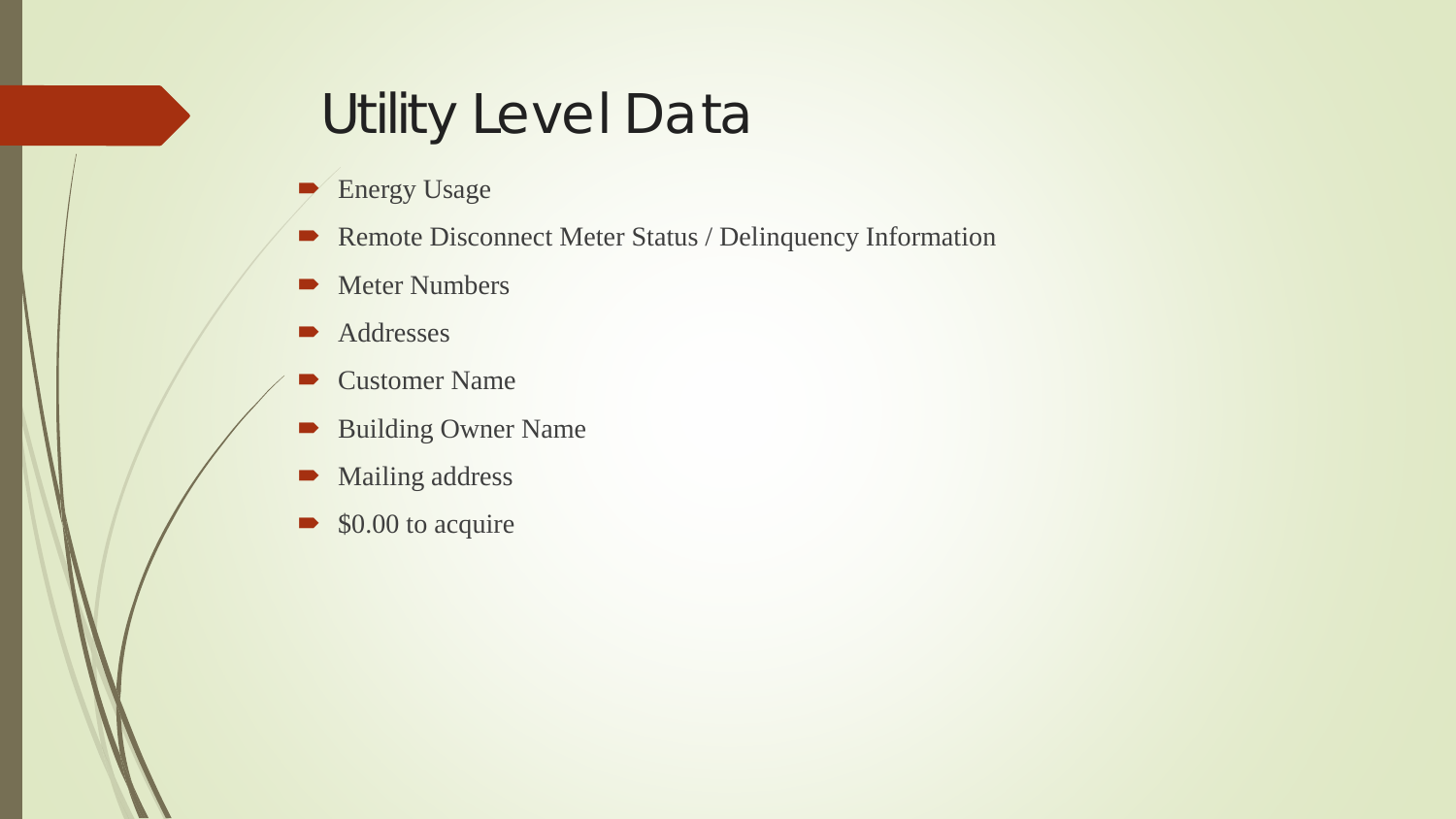# Utility Level Data

- Energy Usage
- Remote Disconnect Meter Status / Delinquency Information
- Meter Numbers
- **Addresses**
- Customer Name
- **Building Owner Name**
- Mailing address
- $\bullet$  \$0.00 to acquire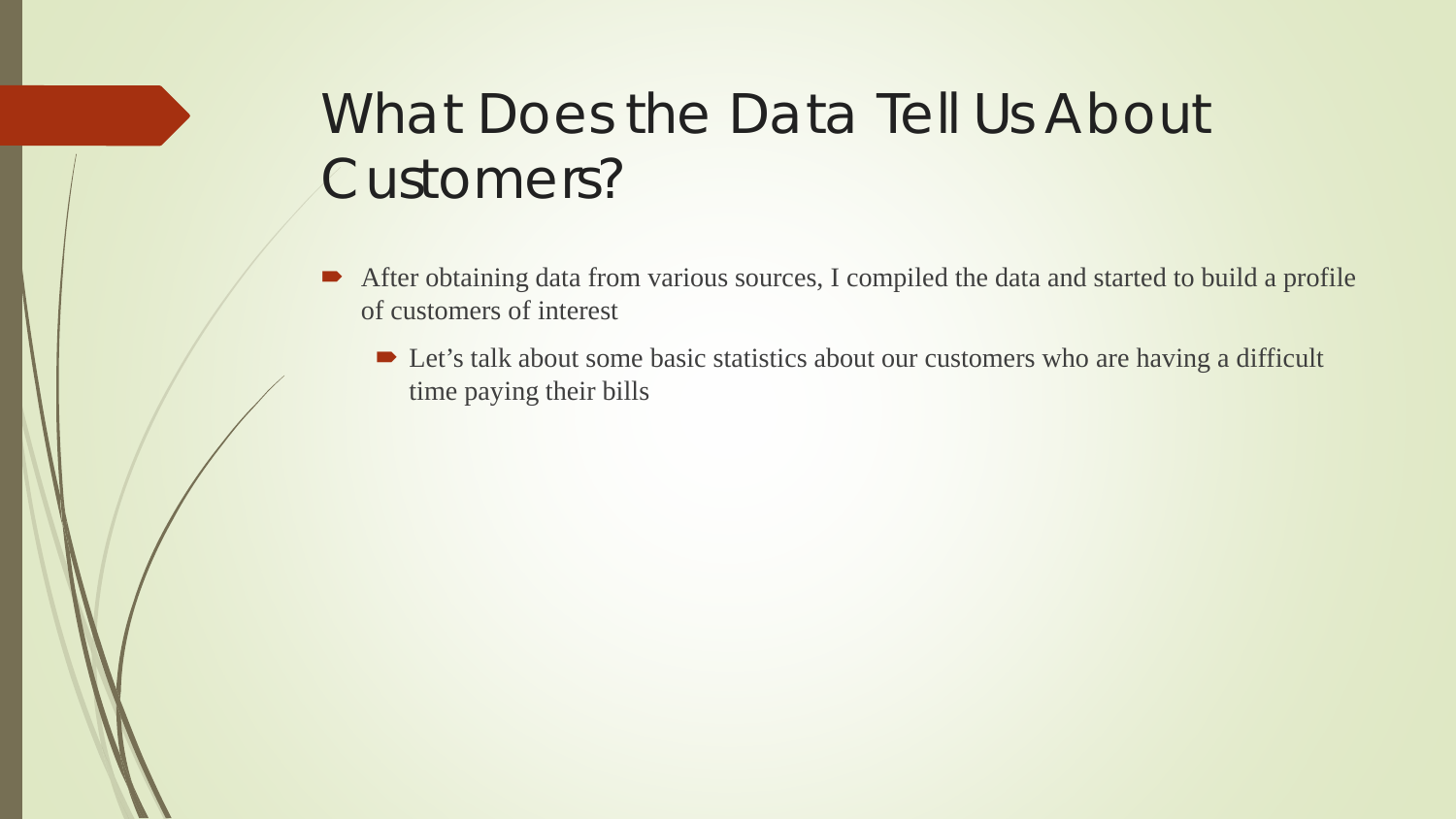# What Does the Data Tell Us About Customers?

- After obtaining data from various sources, I compiled the data and started to build a profile of customers of interest
	- Let's talk about some basic statistics about our customers who are having a difficult time paying their bills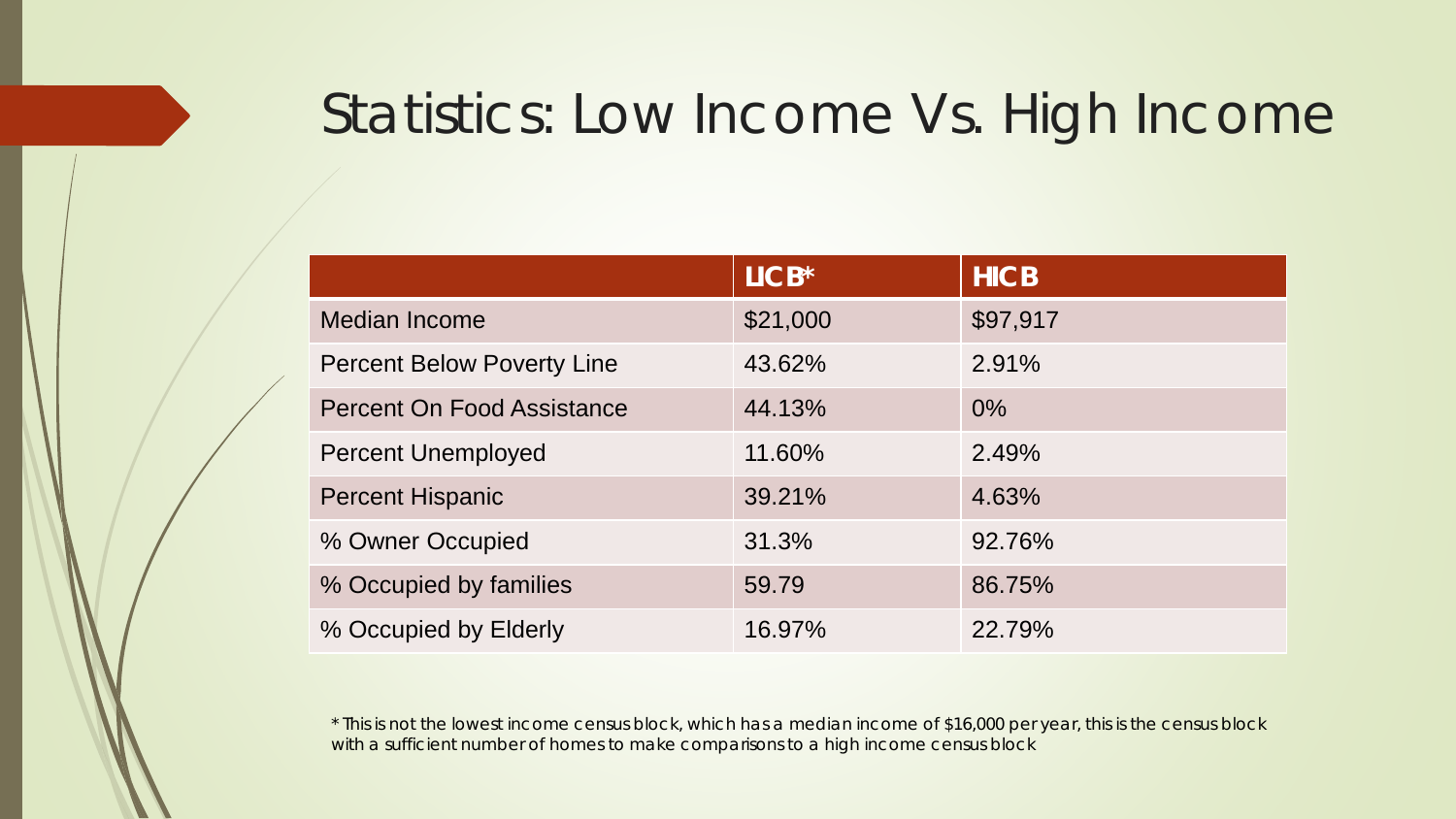# Statistics: Low Income Vs. High Income

|                                   | $LICB*$  | <b>HICB</b> |
|-----------------------------------|----------|-------------|
| Median Income                     | \$21,000 | \$97,917    |
| <b>Percent Below Poverty Line</b> | 43.62%   | 2.91%       |
| <b>Percent On Food Assistance</b> | 44.13%   | $0\%$       |
| <b>Percent Unemployed</b>         | 11.60%   | 2.49%       |
| <b>Percent Hispanic</b>           | 39.21%   | 4.63%       |
| % Owner Occupied                  | 31.3%    | 92.76%      |
| % Occupied by families            | 59.79    | 86.75%      |
| % Occupied by Elderly             | 16.97%   | 22.79%      |

\* This is not the lowest income census block, which has a median income of \$16,000 per year, this is the census block with a sufficient number of homes to make comparisons to a high income census block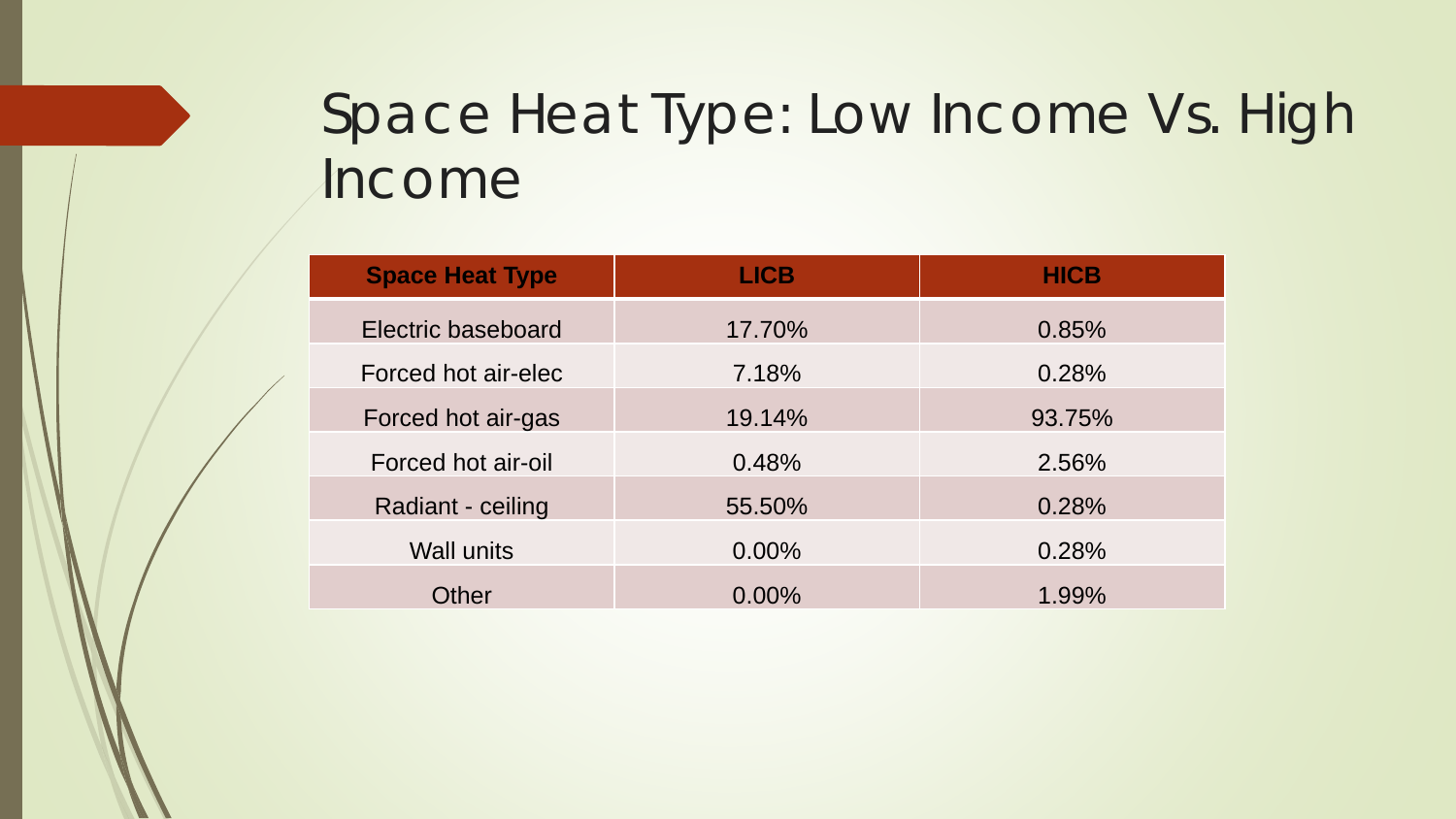# Space Heat Type: Low Income Vs. High Income

| <b>Space Heat Type</b> | <b>LICB</b> | <b>HICB</b> |
|------------------------|-------------|-------------|
| Electric baseboard     | 17.70%      | 0.85%       |
| Forced hot air-elec    | 7.18%       | 0.28%       |
| Forced hot air-gas     | 19.14%      | 93.75%      |
| Forced hot air-oil     | 0.48%       | 2.56%       |
| Radiant - ceiling      | 55.50%      | 0.28%       |
| <b>Wall units</b>      | 0.00%       | 0.28%       |
| Other                  | 0.00%       | 1.99%       |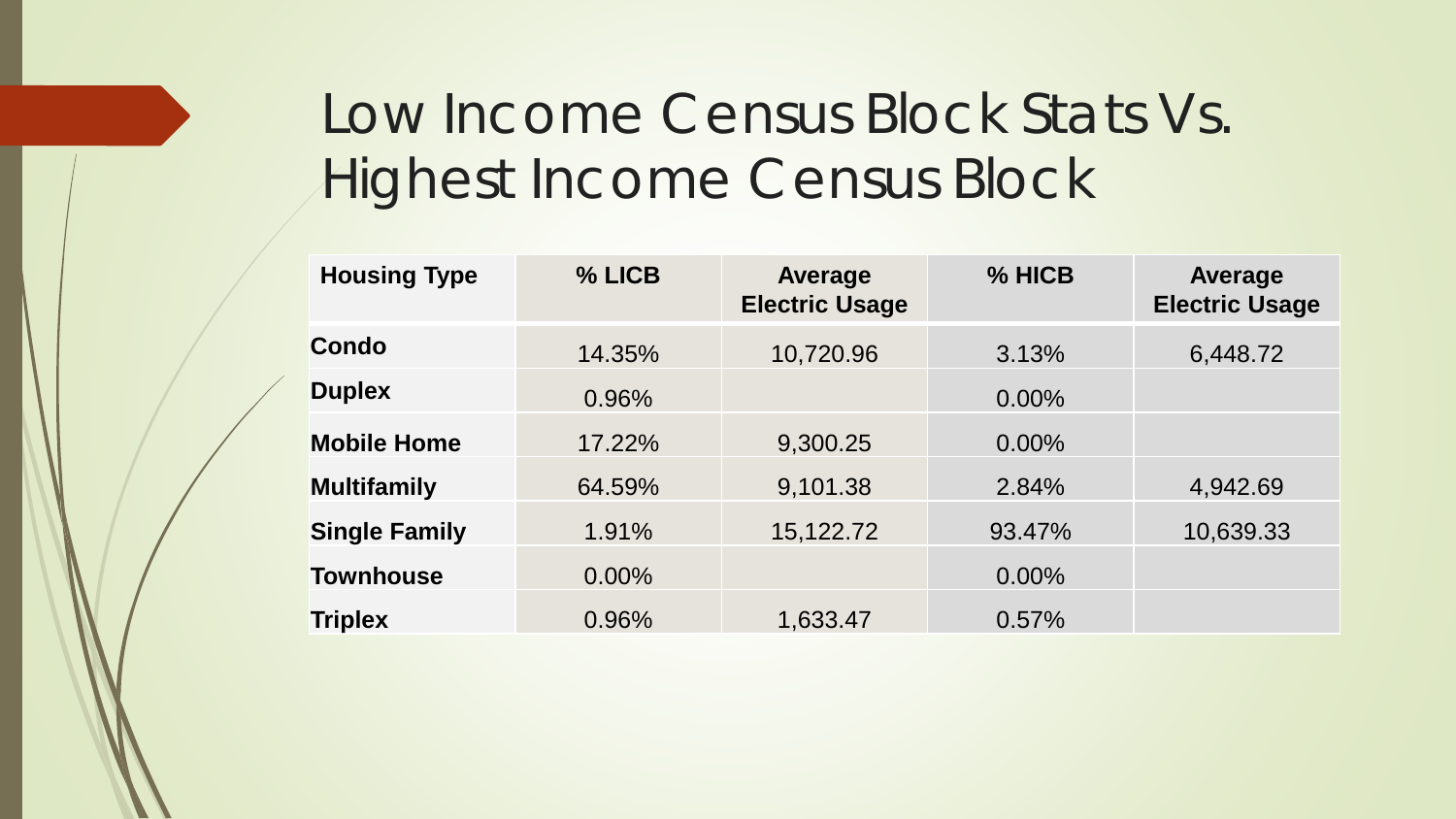# Low Income Census Block Stats Vs. Highest Income Census Block

| <b>Housing Type</b>  | % LICB   | Average<br><b>Electric Usage</b> | % HICB   | Average<br><b>Electric Usage</b> |
|----------------------|----------|----------------------------------|----------|----------------------------------|
| <b>Condo</b>         | 14.35%   | 10,720.96                        | 3.13%    | 6,448.72                         |
| <b>Duplex</b>        | 0.96%    |                                  | 0.00%    |                                  |
| <b>Mobile Home</b>   | 17.22%   | 9,300.25                         | $0.00\%$ |                                  |
| <b>Multifamily</b>   | 64.59%   | 9,101.38                         | 2.84%    | 4,942.69                         |
| <b>Single Family</b> | 1.91%    | 15,122.72                        | 93.47%   | 10,639.33                        |
| <b>Townhouse</b>     | $0.00\%$ |                                  | 0.00%    |                                  |
| <b>Triplex</b>       | 0.96%    | 1,633.47                         | 0.57%    |                                  |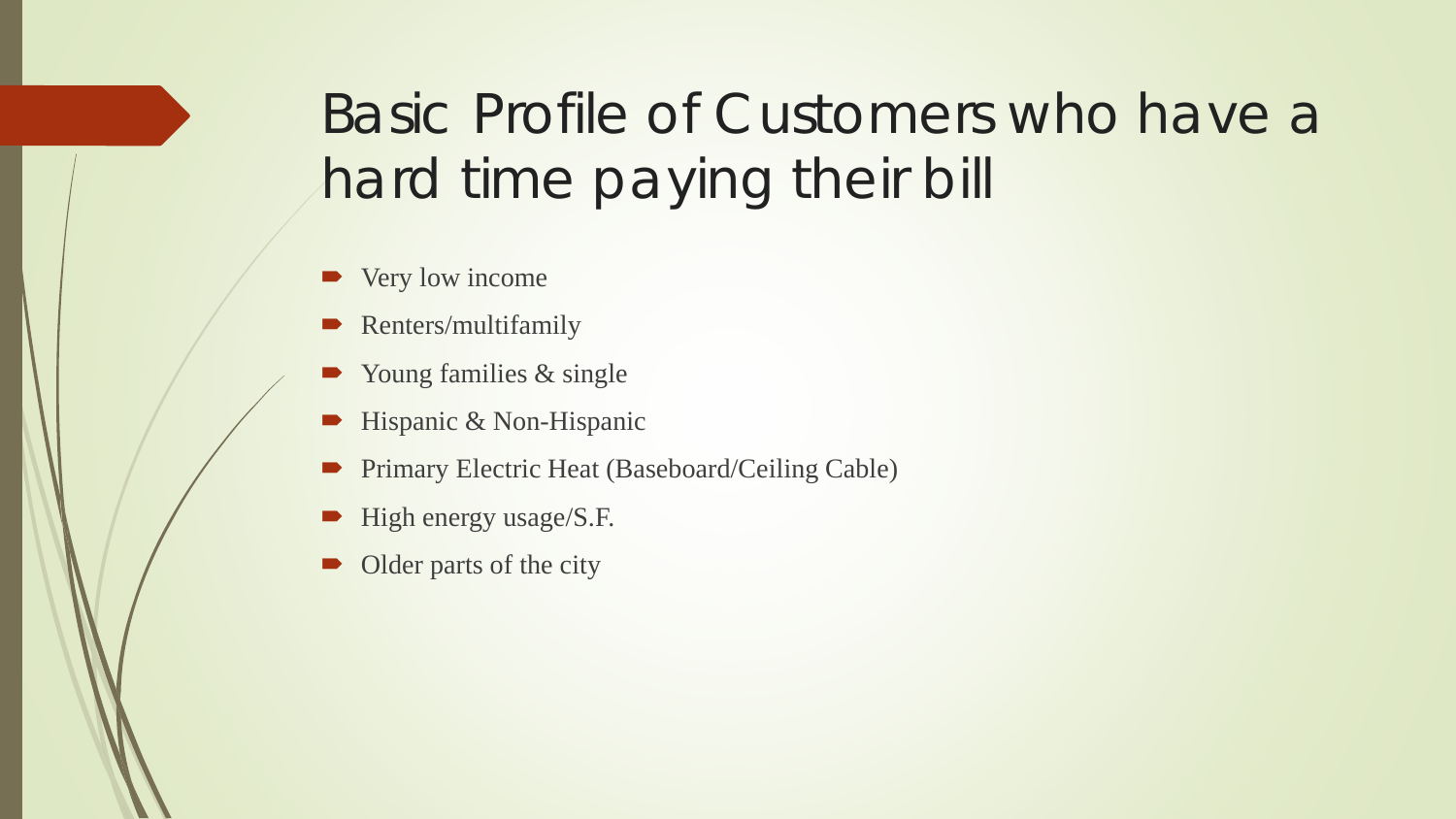# Basic Profile of Customers who have a hard time paying their bill

- Very low income
- Renters/multifamily
- Young families & single
- $\blacktriangleright$  Hispanic & Non-Hispanic
- Primary Electric Heat (Baseboard/Ceiling Cable)
- High energy usage/S.F.
- Older parts of the city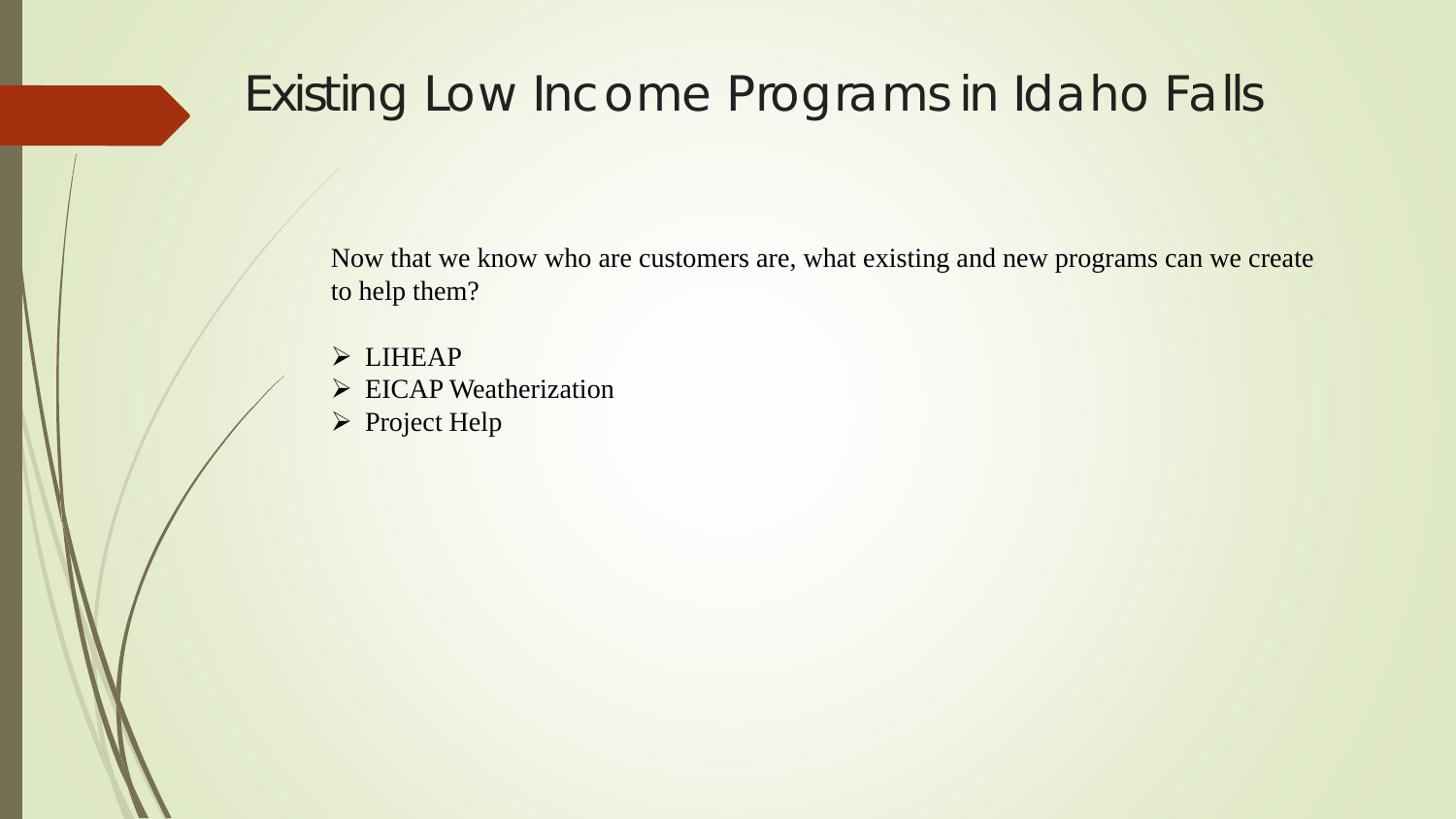#### Existing Low Income Programs in Idaho Falls

Now that we know who are customers are, what existing and new programs can we create to help them?

- > LIHEAP
- $\triangleright$  EICAP Weatherization
- Project Help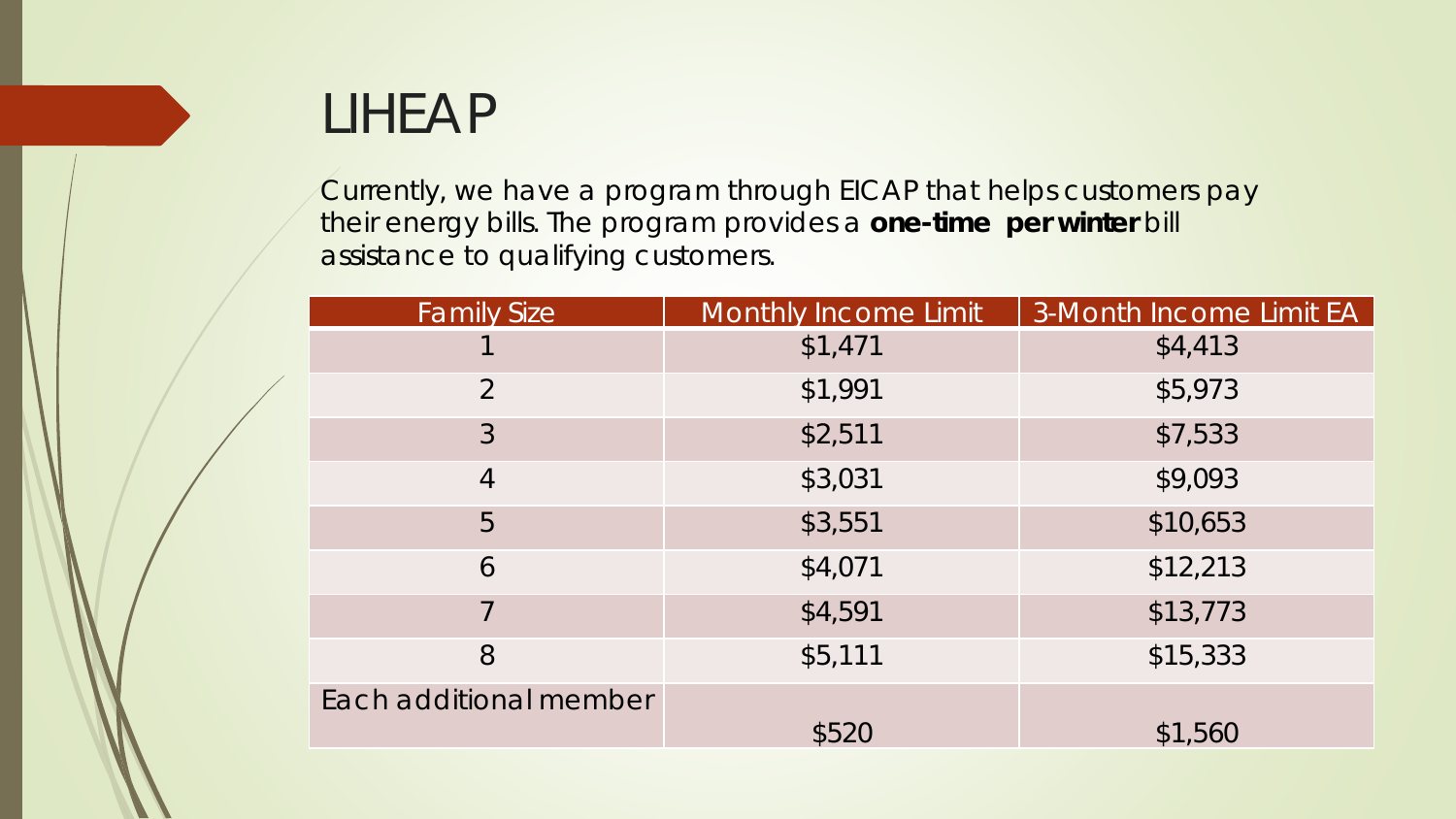# LIHEAP

Currently, we have a program through EICAP that helps customers pay their energy bills. The program provides a **one-time per winter** bill assistance to qualifying customers.

| <b>Family Size</b>     | <b>Monthly Income Limit</b> | 3-Month Income Limit EA |
|------------------------|-----------------------------|-------------------------|
|                        | \$1,471                     | \$4,413                 |
| 2                      | \$1,991                     | \$5,973                 |
| $\mathfrak{Z}$         | \$2,511                     | \$7,533                 |
| $\overline{4}$         | \$3,031                     | \$9,093                 |
| 5                      | \$3,551                     | \$10,653                |
| 6                      | \$4,071                     | \$12,213                |
|                        | \$4,591                     | \$13,773                |
| 8                      | \$5,111                     | \$15,333                |
| Each additional member | \$520                       | \$1,560                 |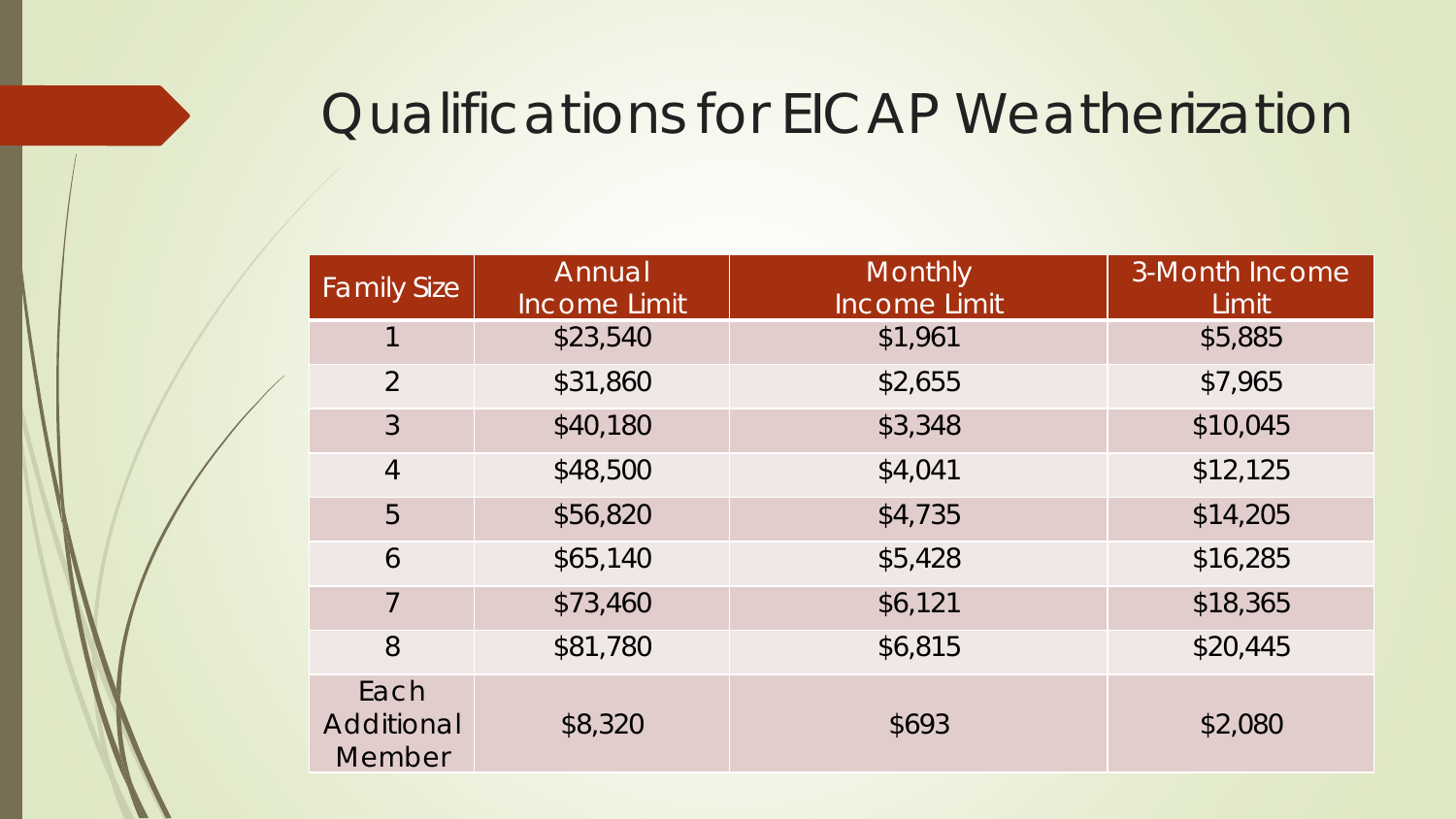# Qualifications for EICAP Weatherization

| <b>Family Size</b>           | Annual<br><b>Income Limit</b> | <b>Monthly</b><br><b>Income Limit</b> | 3-Month Income<br>Limit |
|------------------------------|-------------------------------|---------------------------------------|-------------------------|
|                              | \$23,540                      | \$1,961                               | \$5,885                 |
| $\overline{2}$               | \$31,860                      | \$2,655                               | \$7,965                 |
| $\mathfrak{Z}$               | \$40,180                      | \$3,348                               | \$10,045                |
| $\overline{4}$               | \$48,500                      | \$4,041                               | \$12,125                |
| 5                            | \$56,820                      | \$4,735                               | \$14,205                |
| 6                            | \$65,140                      | \$5,428                               | \$16,285                |
| $\overline{7}$               | \$73,460                      | \$6,121                               | \$18,365                |
| 8                            | \$81,780                      | \$6,815                               | \$20,445                |
| Each<br>Additional<br>Member | \$8,320                       | \$693                                 | \$2,080                 |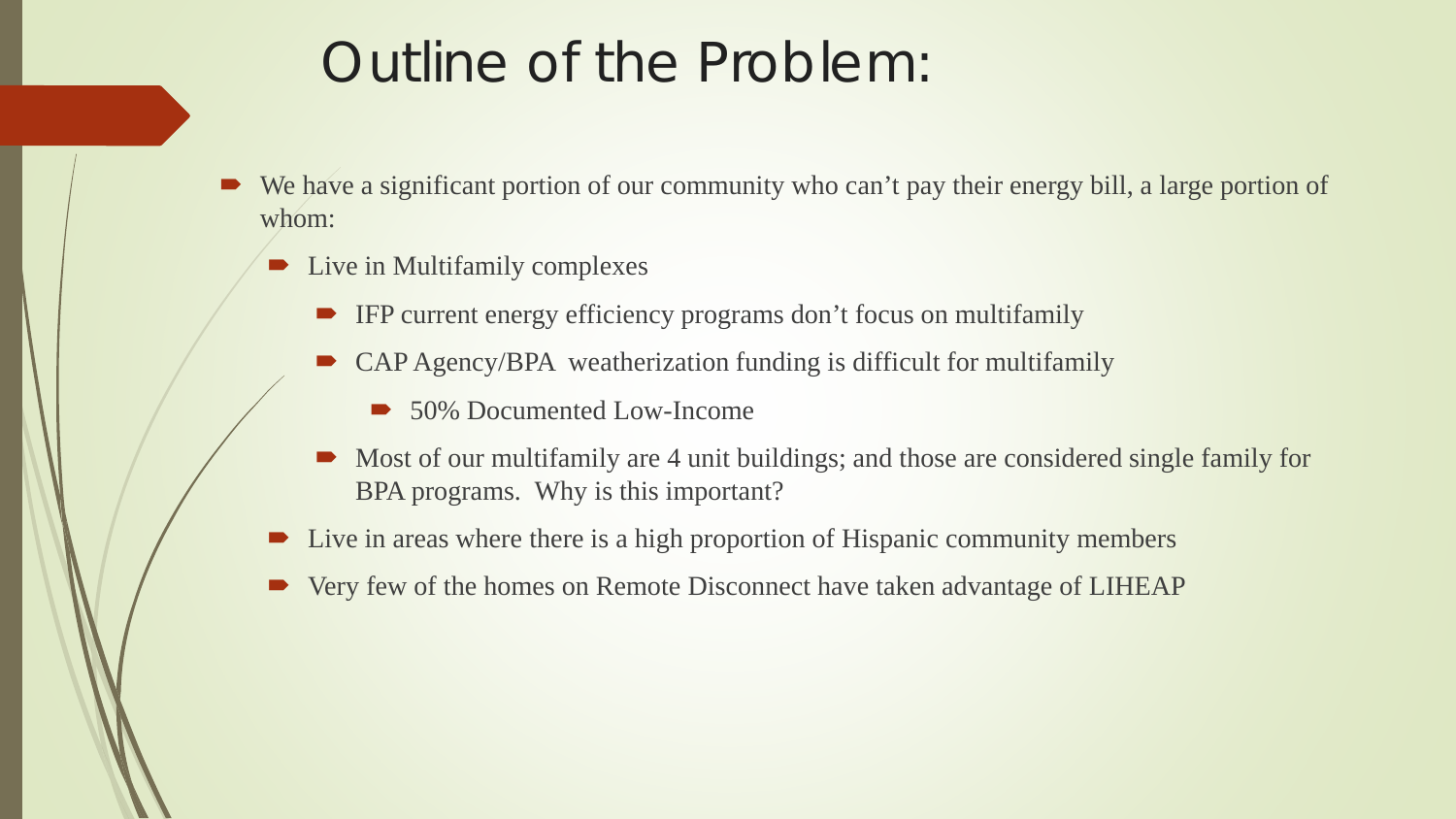# Outline of the Problem:

- We have a significant portion of our community who can't pay their energy bill, a large portion of whom:
	- $\blacksquare$  Live in Multifamily complexes
		- IFP current energy efficiency programs don't focus on multifamily
		- CAP Agency/BPA weatherization funding is difficult for multifamily
			- 50% Documented Low-Income
		- Most of our multifamily are 4 unit buildings; and those are considered single family for BPA programs. Why is this important?
	- Live in areas where there is a high proportion of Hispanic community members
	- Very few of the homes on Remote Disconnect have taken advantage of LIHEAP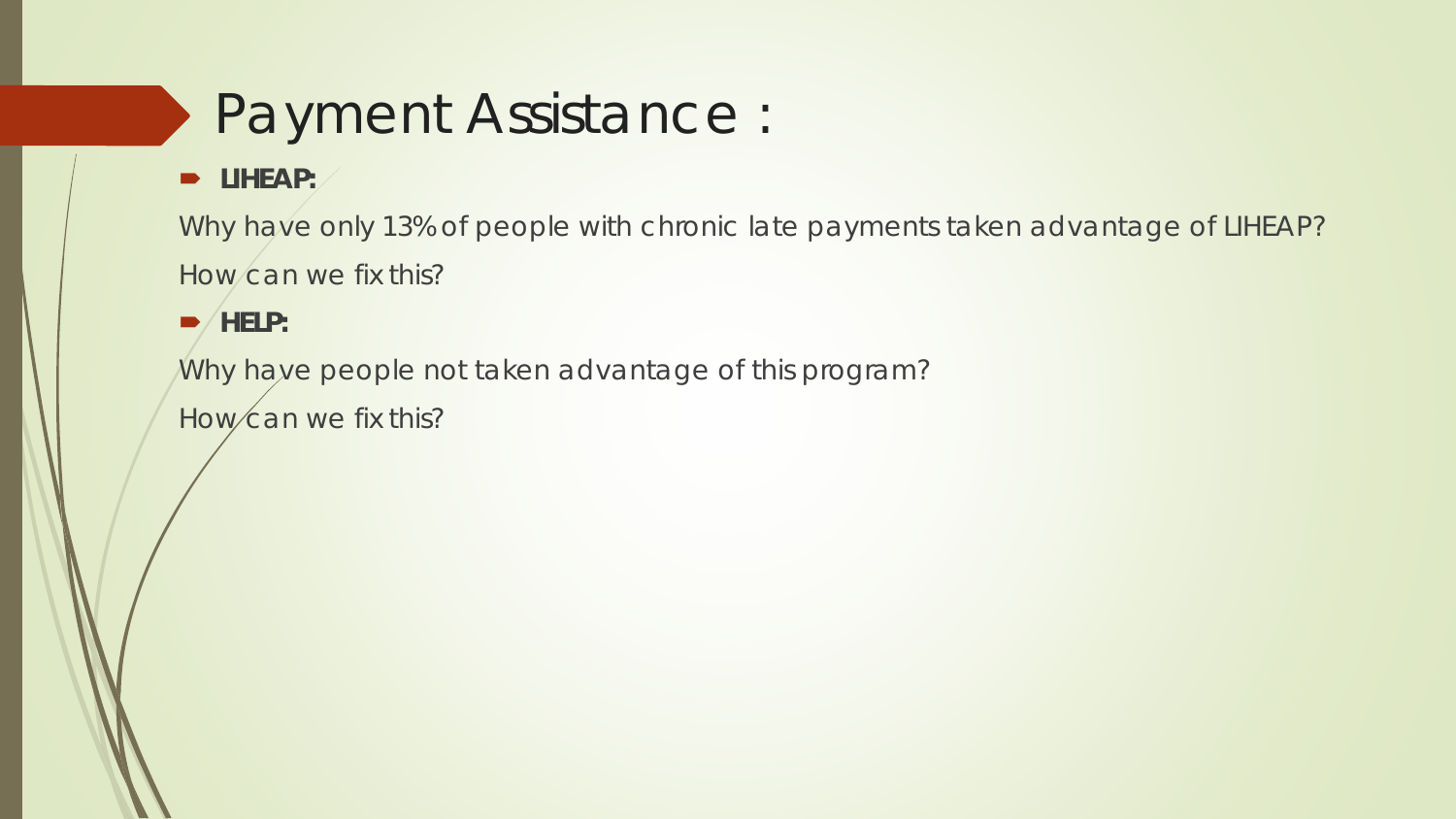# Payment Assistance :

**D** LIHEAP:

Why have only 13% of people with chronic late payments taken advantage of LIHEAP? How can we fix this?

 $\blacktriangleright$ /HELP:

Why have people not taken advantage of this program?

How can we fix this?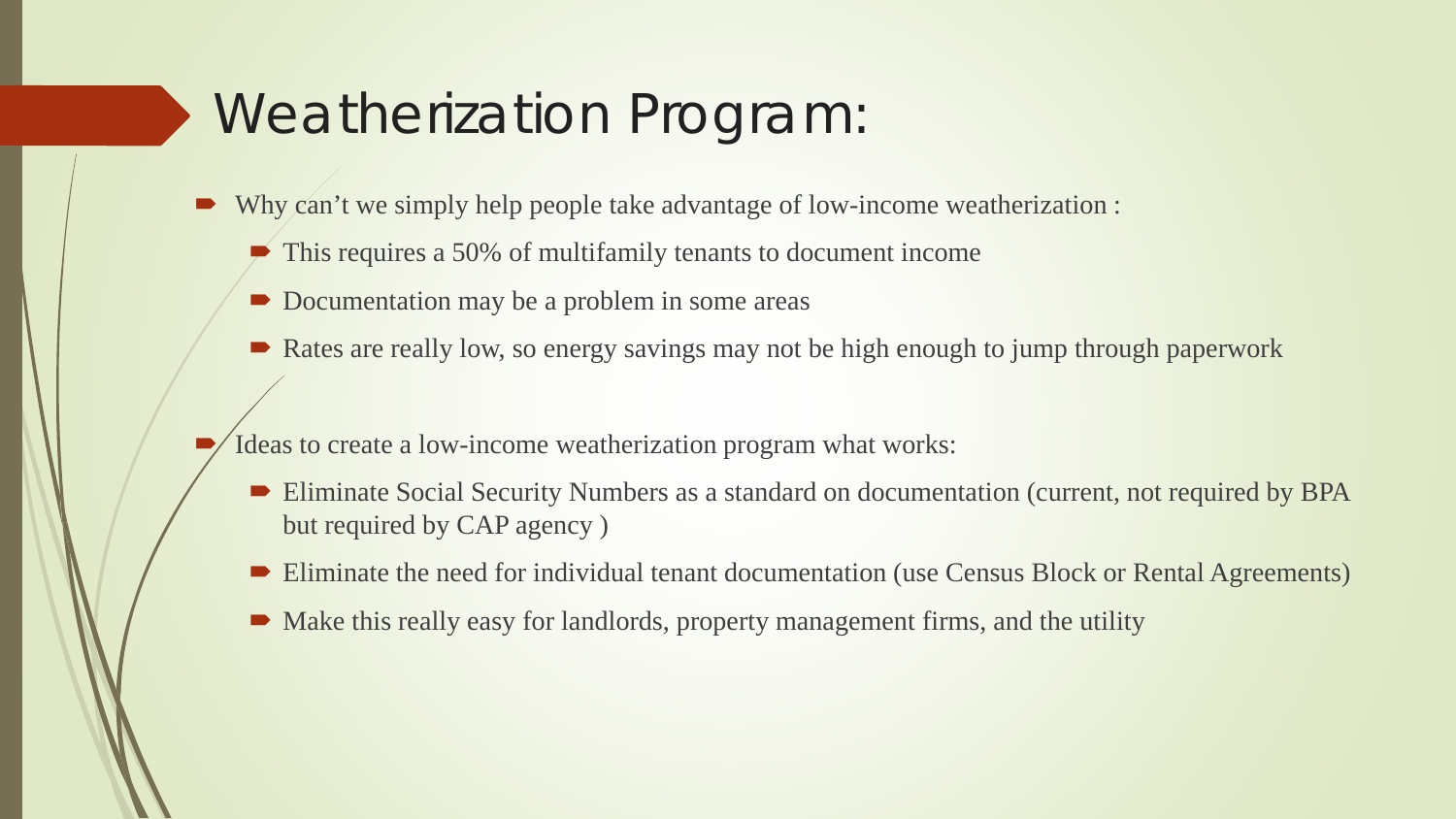# Weatherization Program:

- Why can't we simply help people take advantage of low-income weatherization :
	- $\blacktriangleright$  This requires a 50% of multifamily tenants to document income
	- Documentation may be a problem in some areas
	- Rates are really low, so energy savings may not be high enough to jump through paperwork
- Ideas to create a low-income weatherization program what works:
	- Eliminate Social Security Numbers as a standard on documentation (current, not required by BPA but required by CAP agency )
	- Eliminate the need for individual tenant documentation (use Census Block or Rental Agreements)
	- Make this really easy for landlords, property management firms, and the utility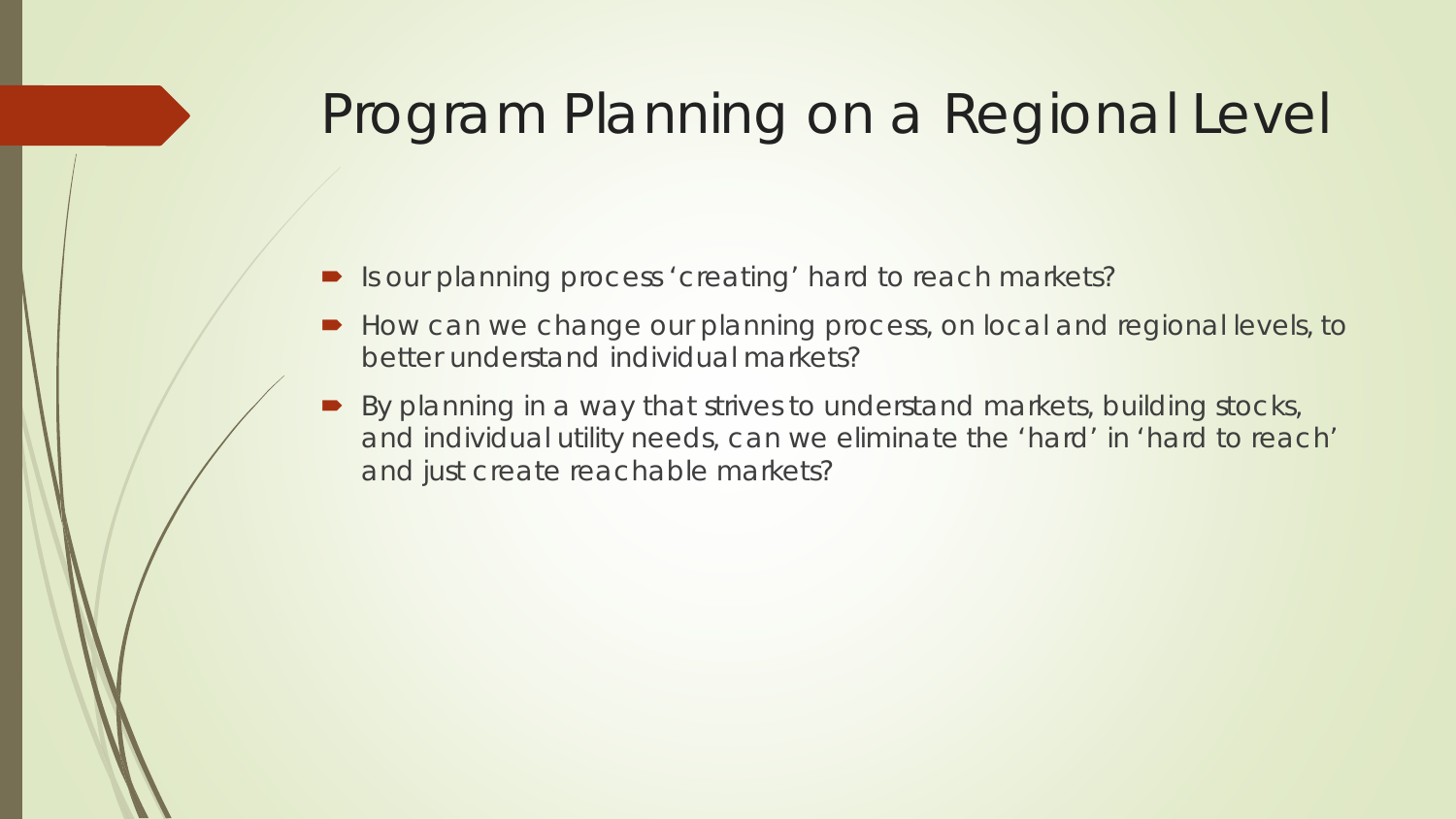# Program Planning on a Regional Level

- Is our planning process 'creating' hard to reach markets?
- How can we change our planning process, on local and regional levels, to better understand individual markets?
- By planning in a way that strives to understand markets, building stocks, and individual utility needs, can we eliminate the 'hard' in 'hard to reach' and just create reachable markets?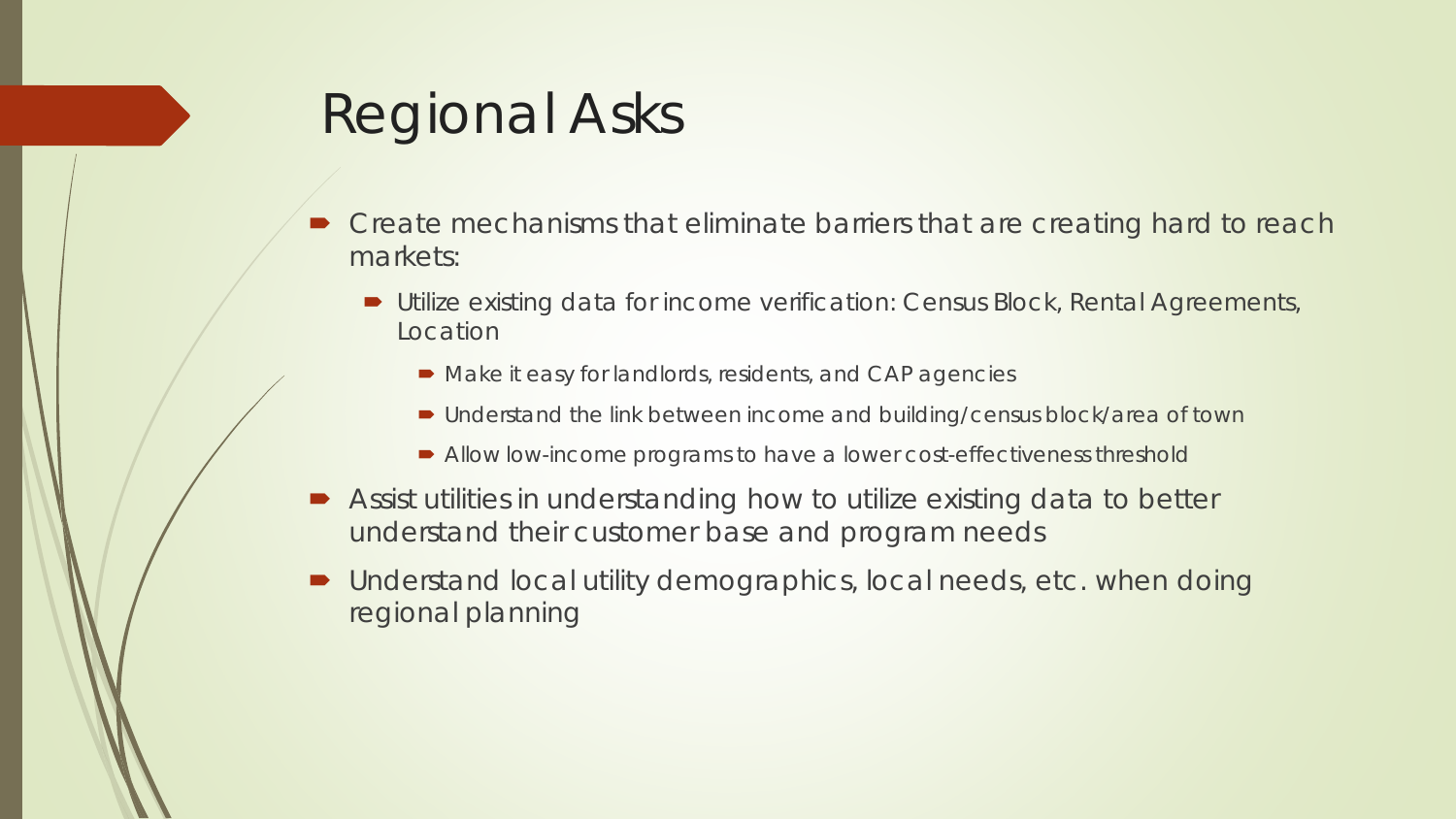# Regional Asks

- Create mechanisms that eliminate barriers that are creating hard to reach markets:
	- Utilize existing data for income verification: Census Block, Rental Agreements, Location
		- Make it easy for landlords, residents, and CAP agencies
		- Understand the link between income and building/census block/area of town
		- Allow low-income programs to have a lower cost-effectiveness threshold
- Assist utilities in understanding how to utilize existing data to better understand their customer base and program needs
- Understand local utility demographics, local needs, etc. when doing regional planning